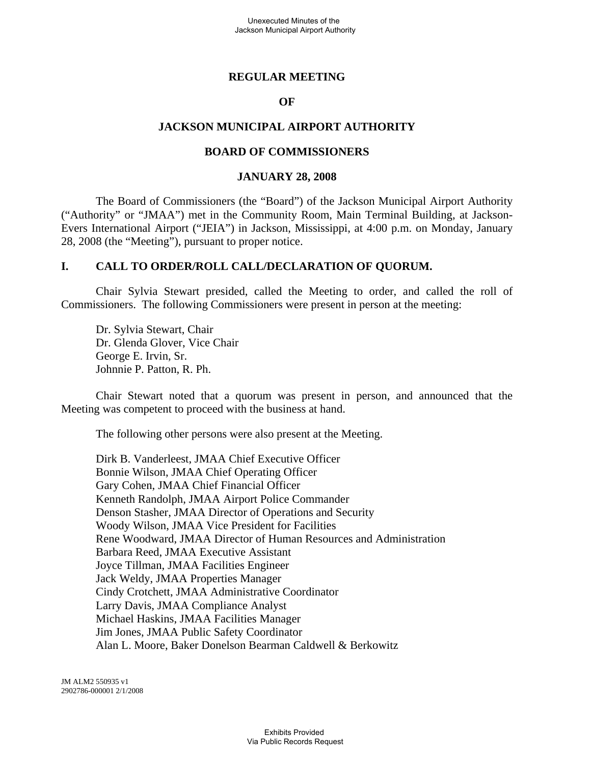#### **REGULAR MEETING**

#### **OF**

#### **JACKSON MUNICIPAL AIRPORT AUTHORITY**

#### **BOARD OF COMMISSIONERS**

#### **JANUARY 28, 2008**

The Board of Commissioners (the "Board") of the Jackson Municipal Airport Authority ("Authority" or "JMAA") met in the Community Room, Main Terminal Building, at Jackson-Evers International Airport ("JEIA") in Jackson, Mississippi, at 4:00 p.m. on Monday, January 28, 2008 (the "Meeting"), pursuant to proper notice.

## **I. CALL TO ORDER/ROLL CALL/DECLARATION OF QUORUM.**

Chair Sylvia Stewart presided, called the Meeting to order, and called the roll of Commissioners. The following Commissioners were present in person at the meeting:

Dr. Sylvia Stewart, Chair Dr. Glenda Glover, Vice Chair George E. Irvin, Sr. Johnnie P. Patton, R. Ph.

Chair Stewart noted that a quorum was present in person, and announced that the Meeting was competent to proceed with the business at hand.

The following other persons were also present at the Meeting.

Dirk B. Vanderleest, JMAA Chief Executive Officer Bonnie Wilson, JMAA Chief Operating Officer Gary Cohen, JMAA Chief Financial Officer Kenneth Randolph, JMAA Airport Police Commander Denson Stasher, JMAA Director of Operations and Security Woody Wilson, JMAA Vice President for Facilities Rene Woodward, JMAA Director of Human Resources and Administration Barbara Reed, JMAA Executive Assistant Joyce Tillman, JMAA Facilities Engineer Jack Weldy, JMAA Properties Manager Cindy Crotchett, JMAA Administrative Coordinator Larry Davis, JMAA Compliance Analyst Michael Haskins, JMAA Facilities Manager Jim Jones, JMAA Public Safety Coordinator Alan L. Moore, Baker Donelson Bearman Caldwell & Berkowitz

JM ALM2 550935 v1 2902786-000001 2/1/2008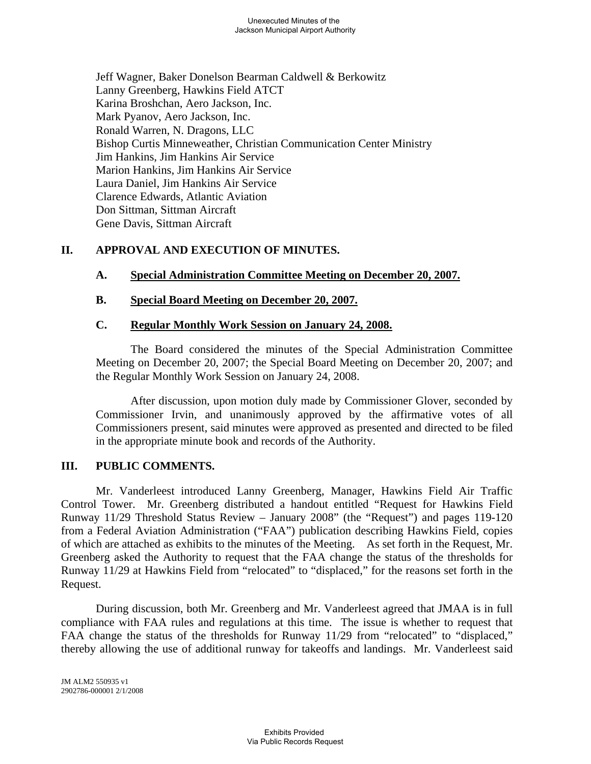Jeff Wagner, Baker Donelson Bearman Caldwell & Berkowitz Lanny Greenberg, Hawkins Field ATCT Karina Broshchan, Aero Jackson, Inc. Mark Pyanov, Aero Jackson, Inc. Ronald Warren, N. Dragons, LLC Bishop Curtis Minneweather, Christian Communication Center Ministry Jim Hankins, Jim Hankins Air Service Marion Hankins, Jim Hankins Air Service Laura Daniel, Jim Hankins Air Service Clarence Edwards, Atlantic Aviation Don Sittman, Sittman Aircraft Gene Davis, Sittman Aircraft

# **II. APPROVAL AND EXECUTION OF MINUTES.**

# **A. Special Administration Committee Meeting on December 20, 2007.**

# **B. Special Board Meeting on December 20, 2007.**

# **C. Regular Monthly Work Session on January 24, 2008.**

The Board considered the minutes of the Special Administration Committee Meeting on December 20, 2007; the Special Board Meeting on December 20, 2007; and the Regular Monthly Work Session on January 24, 2008.

After discussion, upon motion duly made by Commissioner Glover, seconded by Commissioner Irvin, and unanimously approved by the affirmative votes of all Commissioners present, said minutes were approved as presented and directed to be filed in the appropriate minute book and records of the Authority.

# **III. PUBLIC COMMENTS.**

Mr. Vanderleest introduced Lanny Greenberg, Manager, Hawkins Field Air Traffic Control Tower. Mr. Greenberg distributed a handout entitled "Request for Hawkins Field Runway 11/29 Threshold Status Review – January 2008" (the "Request") and pages 119-120 from a Federal Aviation Administration ("FAA") publication describing Hawkins Field, copies of which are attached as exhibits to the minutes of the Meeting. As set forth in the Request, Mr. Greenberg asked the Authority to request that the FAA change the status of the thresholds for Runway 11/29 at Hawkins Field from "relocated" to "displaced," for the reasons set forth in the Request.

During discussion, both Mr. Greenberg and Mr. Vanderleest agreed that JMAA is in full compliance with FAA rules and regulations at this time. The issue is whether to request that FAA change the status of the thresholds for Runway 11/29 from "relocated" to "displaced," thereby allowing the use of additional runway for takeoffs and landings. Mr. Vanderleest said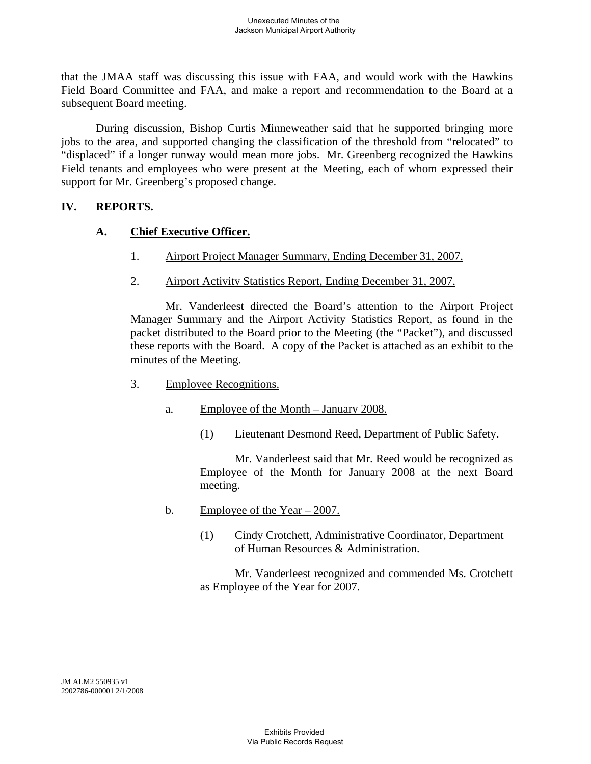that the JMAA staff was discussing this issue with FAA, and would work with the Hawkins Field Board Committee and FAA, and make a report and recommendation to the Board at a subsequent Board meeting.

During discussion, Bishop Curtis Minneweather said that he supported bringing more jobs to the area, and supported changing the classification of the threshold from "relocated" to "displaced" if a longer runway would mean more jobs. Mr. Greenberg recognized the Hawkins Field tenants and employees who were present at the Meeting, each of whom expressed their support for Mr. Greenberg's proposed change.

# **IV. REPORTS.**

# **A. Chief Executive Officer.**

- 1. Airport Project Manager Summary, Ending December 31, 2007.
- 2. Airport Activity Statistics Report, Ending December 31, 2007.

Mr. Vanderleest directed the Board's attention to the Airport Project Manager Summary and the Airport Activity Statistics Report, as found in the packet distributed to the Board prior to the Meeting (the "Packet"), and discussed these reports with the Board. A copy of the Packet is attached as an exhibit to the minutes of the Meeting.

- 3. Employee Recognitions.
	- a. Employee of the Month January 2008.
		- (1) Lieutenant Desmond Reed, Department of Public Safety.

Mr. Vanderleest said that Mr. Reed would be recognized as Employee of the Month for January 2008 at the next Board meeting.

- b. Employee of the Year  $-2007$ .
	- (1) Cindy Crotchett, Administrative Coordinator, Department of Human Resources & Administration.

Mr. Vanderleest recognized and commended Ms. Crotchett as Employee of the Year for 2007.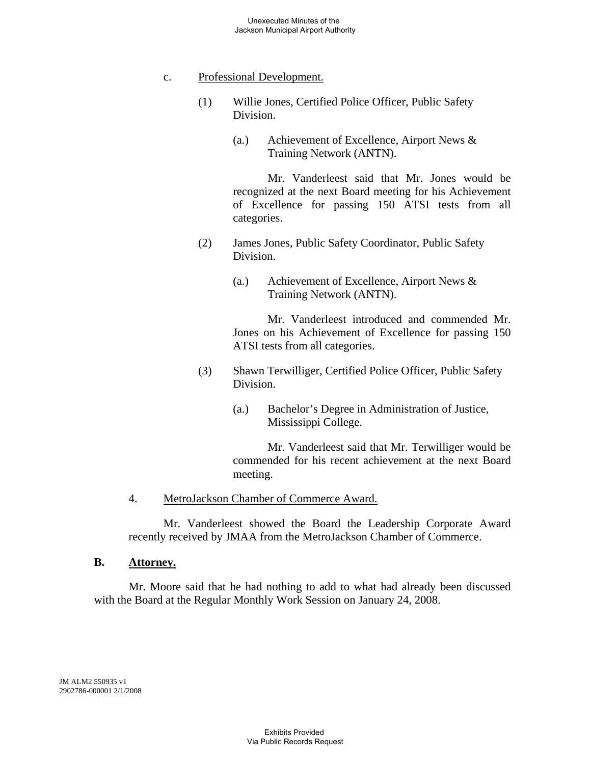#### c. Professional Development.

- (1) Willie Jones, Certified Police Officer, Public Safety Division.
	- (a.) Achievement of Excellence, Airport News & Training Network (ANTN).

Mr. Vanderleest said that Mr. Jones would be recognized at the next Board meeting for his Achievement of Excellence for passing 150 ATSI tests from all categories.

- (2) James Jones, Public Safety Coordinator, Public Safety Division.
	- (a.) Achievement of Excellence, Airport News & Training Network (ANTN).

Mr. Vanderleest introduced and commended Mr. Jones on his Achievement of Excellence for passing 150 ATSI tests from all categories.

- (3) Shawn Terwilliger, Certified Police Officer, Public Safety Division.
	- (a.) Bachelor's Degree in Administration of Justice, Mississippi College.

Mr. Vanderleest said that Mr. Terwilliger would be commended for his recent achievement at the next Board meeting.

#### 4. MetroJackson Chamber of Commerce Award.

Mr. Vanderleest showed the Board the Leadership Corporate Award recently received by JMAA from the MetroJackson Chamber of Commerce.

#### **B. Attorney.**

Mr. Moore said that he had nothing to add to what had already been discussed with the Board at the Regular Monthly Work Session on January 24, 2008.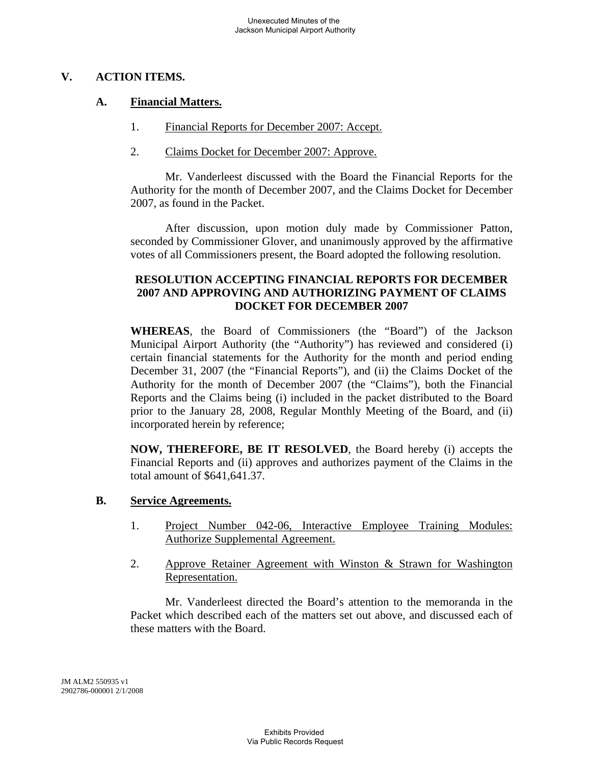# **V. ACTION ITEMS.**

## **A. Financial Matters.**

- 1. Financial Reports for December 2007: Accept.
- 2. Claims Docket for December 2007: Approve.

Mr. Vanderleest discussed with the Board the Financial Reports for the Authority for the month of December 2007, and the Claims Docket for December 2007, as found in the Packet.

After discussion, upon motion duly made by Commissioner Patton, seconded by Commissioner Glover, and unanimously approved by the affirmative votes of all Commissioners present, the Board adopted the following resolution.

# **RESOLUTION ACCEPTING FINANCIAL REPORTS FOR DECEMBER 2007 AND APPROVING AND AUTHORIZING PAYMENT OF CLAIMS DOCKET FOR DECEMBER 2007**

**WHEREAS**, the Board of Commissioners (the "Board") of the Jackson Municipal Airport Authority (the "Authority") has reviewed and considered (i) certain financial statements for the Authority for the month and period ending December 31, 2007 (the "Financial Reports"), and (ii) the Claims Docket of the Authority for the month of December 2007 (the "Claims"), both the Financial Reports and the Claims being (i) included in the packet distributed to the Board prior to the January 28, 2008, Regular Monthly Meeting of the Board, and (ii) incorporated herein by reference;

**NOW, THEREFORE, BE IT RESOLVED**, the Board hereby (i) accepts the Financial Reports and (ii) approves and authorizes payment of the Claims in the total amount of \$641,641.37.

# **B. Service Agreements.**

- 1. Project Number 042-06, Interactive Employee Training Modules: Authorize Supplemental Agreement.
- 2. Approve Retainer Agreement with Winston & Strawn for Washington Representation.

Mr. Vanderleest directed the Board's attention to the memoranda in the Packet which described each of the matters set out above, and discussed each of these matters with the Board.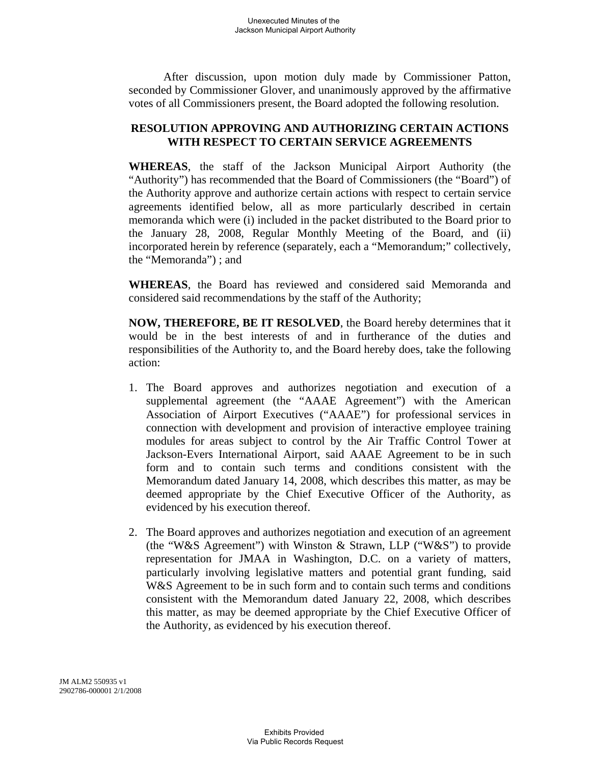After discussion, upon motion duly made by Commissioner Patton, seconded by Commissioner Glover, and unanimously approved by the affirmative votes of all Commissioners present, the Board adopted the following resolution.

# **RESOLUTION APPROVING AND AUTHORIZING CERTAIN ACTIONS WITH RESPECT TO CERTAIN SERVICE AGREEMENTS**

**WHEREAS**, the staff of the Jackson Municipal Airport Authority (the "Authority") has recommended that the Board of Commissioners (the "Board") of the Authority approve and authorize certain actions with respect to certain service agreements identified below, all as more particularly described in certain memoranda which were (i) included in the packet distributed to the Board prior to the January 28, 2008, Regular Monthly Meeting of the Board, and (ii) incorporated herein by reference (separately, each a "Memorandum;" collectively, the "Memoranda") ; and

**WHEREAS**, the Board has reviewed and considered said Memoranda and considered said recommendations by the staff of the Authority;

**NOW, THEREFORE, BE IT RESOLVED**, the Board hereby determines that it would be in the best interests of and in furtherance of the duties and responsibilities of the Authority to, and the Board hereby does, take the following action:

- 1. The Board approves and authorizes negotiation and execution of a supplemental agreement (the "AAAE Agreement") with the American Association of Airport Executives ("AAAE") for professional services in connection with development and provision of interactive employee training modules for areas subject to control by the Air Traffic Control Tower at Jackson-Evers International Airport, said AAAE Agreement to be in such form and to contain such terms and conditions consistent with the Memorandum dated January 14, 2008, which describes this matter, as may be deemed appropriate by the Chief Executive Officer of the Authority, as evidenced by his execution thereof.
- 2. The Board approves and authorizes negotiation and execution of an agreement (the "W&S Agreement") with Winston & Strawn, LLP ("W&S") to provide representation for JMAA in Washington, D.C. on a variety of matters, particularly involving legislative matters and potential grant funding, said W&S Agreement to be in such form and to contain such terms and conditions consistent with the Memorandum dated January 22, 2008, which describes this matter, as may be deemed appropriate by the Chief Executive Officer of the Authority, as evidenced by his execution thereof.

JM ALM2 550935 v1 2902786-000001 2/1/2008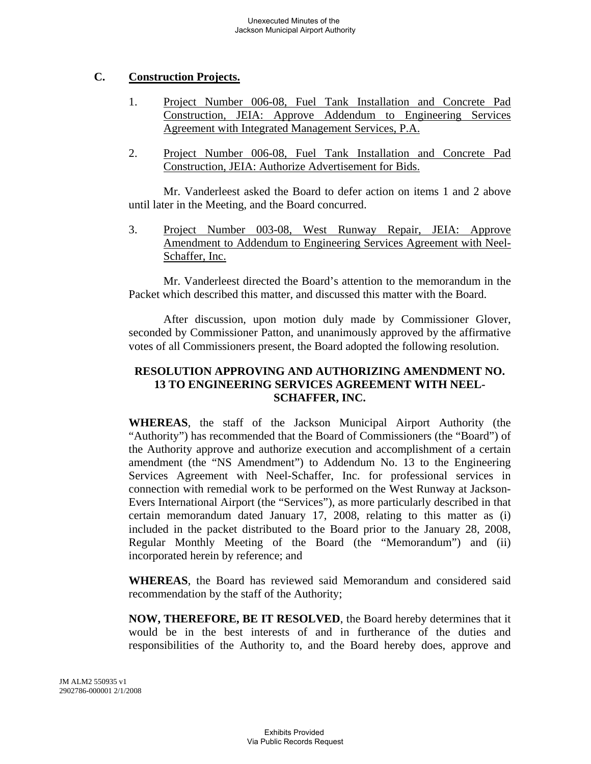# **C. Construction Projects.**

- 1. Project Number 006-08, Fuel Tank Installation and Concrete Pad Construction, JEIA: Approve Addendum to Engineering Services Agreement with Integrated Management Services, P.A.
- 2. Project Number 006-08, Fuel Tank Installation and Concrete Pad Construction, JEIA: Authorize Advertisement for Bids.

Mr. Vanderleest asked the Board to defer action on items 1 and 2 above until later in the Meeting, and the Board concurred.

3. Project Number 003-08, West Runway Repair, JEIA: Approve Amendment to Addendum to Engineering Services Agreement with Neel-Schaffer, Inc.

Mr. Vanderleest directed the Board's attention to the memorandum in the Packet which described this matter, and discussed this matter with the Board.

After discussion, upon motion duly made by Commissioner Glover, seconded by Commissioner Patton, and unanimously approved by the affirmative votes of all Commissioners present, the Board adopted the following resolution.

# **RESOLUTION APPROVING AND AUTHORIZING AMENDMENT NO. 13 TO ENGINEERING SERVICES AGREEMENT WITH NEEL-SCHAFFER, INC.**

**WHEREAS**, the staff of the Jackson Municipal Airport Authority (the "Authority") has recommended that the Board of Commissioners (the "Board") of the Authority approve and authorize execution and accomplishment of a certain amendment (the "NS Amendment") to Addendum No. 13 to the Engineering Services Agreement with Neel-Schaffer, Inc. for professional services in connection with remedial work to be performed on the West Runway at Jackson-Evers International Airport (the "Services"), as more particularly described in that certain memorandum dated January 17, 2008, relating to this matter as (i) included in the packet distributed to the Board prior to the January 28, 2008, Regular Monthly Meeting of the Board (the "Memorandum") and (ii) incorporated herein by reference; and

**WHEREAS**, the Board has reviewed said Memorandum and considered said recommendation by the staff of the Authority;

**NOW, THEREFORE, BE IT RESOLVED**, the Board hereby determines that it would be in the best interests of and in furtherance of the duties and responsibilities of the Authority to, and the Board hereby does, approve and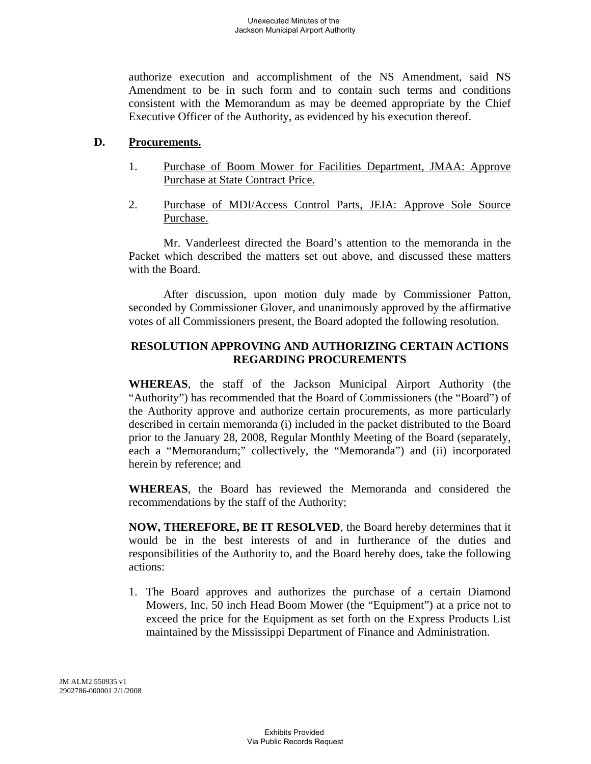authorize execution and accomplishment of the NS Amendment, said NS Amendment to be in such form and to contain such terms and conditions consistent with the Memorandum as may be deemed appropriate by the Chief Executive Officer of the Authority, as evidenced by his execution thereof.

## **D. Procurements.**

- 1. Purchase of Boom Mower for Facilities Department, JMAA: Approve Purchase at State Contract Price.
- 2. Purchase of MDI/Access Control Parts, JEIA: Approve Sole Source Purchase.

Mr. Vanderleest directed the Board's attention to the memoranda in the Packet which described the matters set out above, and discussed these matters with the Board.

After discussion, upon motion duly made by Commissioner Patton, seconded by Commissioner Glover, and unanimously approved by the affirmative votes of all Commissioners present, the Board adopted the following resolution.

## **RESOLUTION APPROVING AND AUTHORIZING CERTAIN ACTIONS REGARDING PROCUREMENTS**

**WHEREAS**, the staff of the Jackson Municipal Airport Authority (the "Authority") has recommended that the Board of Commissioners (the "Board") of the Authority approve and authorize certain procurements, as more particularly described in certain memoranda (i) included in the packet distributed to the Board prior to the January 28, 2008, Regular Monthly Meeting of the Board (separately, each a "Memorandum;" collectively, the "Memoranda") and (ii) incorporated herein by reference; and

**WHEREAS**, the Board has reviewed the Memoranda and considered the recommendations by the staff of the Authority;

**NOW, THEREFORE, BE IT RESOLVED**, the Board hereby determines that it would be in the best interests of and in furtherance of the duties and responsibilities of the Authority to, and the Board hereby does, take the following actions:

1. The Board approves and authorizes the purchase of a certain Diamond Mowers, Inc. 50 inch Head Boom Mower (the "Equipment") at a price not to exceed the price for the Equipment as set forth on the Express Products List maintained by the Mississippi Department of Finance and Administration.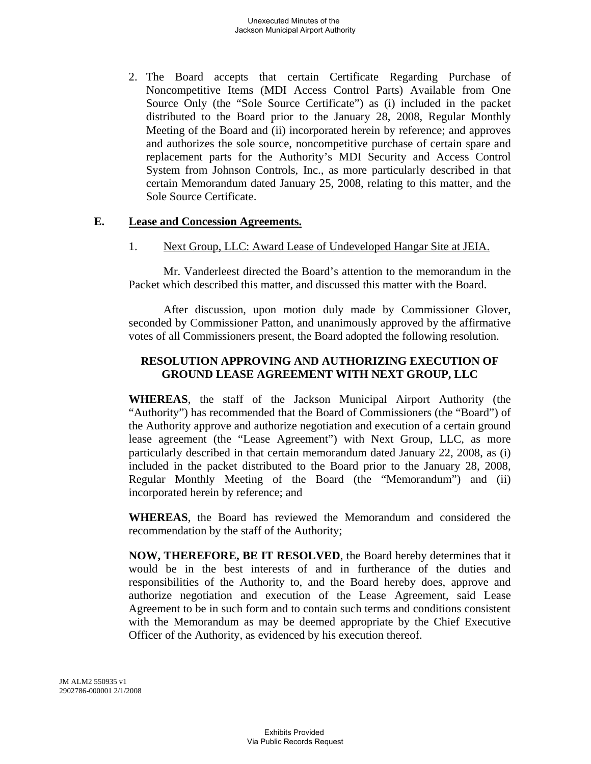2. The Board accepts that certain Certificate Regarding Purchase of Noncompetitive Items (MDI Access Control Parts) Available from One Source Only (the "Sole Source Certificate") as (i) included in the packet distributed to the Board prior to the January 28, 2008, Regular Monthly Meeting of the Board and (ii) incorporated herein by reference; and approves and authorizes the sole source, noncompetitive purchase of certain spare and replacement parts for the Authority's MDI Security and Access Control System from Johnson Controls, Inc., as more particularly described in that certain Memorandum dated January 25, 2008, relating to this matter, and the Sole Source Certificate.

#### **E. Lease and Concession Agreements.**

1. Next Group, LLC: Award Lease of Undeveloped Hangar Site at JEIA.

Mr. Vanderleest directed the Board's attention to the memorandum in the Packet which described this matter, and discussed this matter with the Board.

After discussion, upon motion duly made by Commissioner Glover, seconded by Commissioner Patton, and unanimously approved by the affirmative votes of all Commissioners present, the Board adopted the following resolution.

## **RESOLUTION APPROVING AND AUTHORIZING EXECUTION OF GROUND LEASE AGREEMENT WITH NEXT GROUP, LLC**

**WHEREAS**, the staff of the Jackson Municipal Airport Authority (the "Authority") has recommended that the Board of Commissioners (the "Board") of the Authority approve and authorize negotiation and execution of a certain ground lease agreement (the "Lease Agreement") with Next Group, LLC, as more particularly described in that certain memorandum dated January 22, 2008, as (i) included in the packet distributed to the Board prior to the January 28, 2008, Regular Monthly Meeting of the Board (the "Memorandum") and (ii) incorporated herein by reference; and

**WHEREAS**, the Board has reviewed the Memorandum and considered the recommendation by the staff of the Authority;

**NOW, THEREFORE, BE IT RESOLVED**, the Board hereby determines that it would be in the best interests of and in furtherance of the duties and responsibilities of the Authority to, and the Board hereby does, approve and authorize negotiation and execution of the Lease Agreement, said Lease Agreement to be in such form and to contain such terms and conditions consistent with the Memorandum as may be deemed appropriate by the Chief Executive Officer of the Authority, as evidenced by his execution thereof.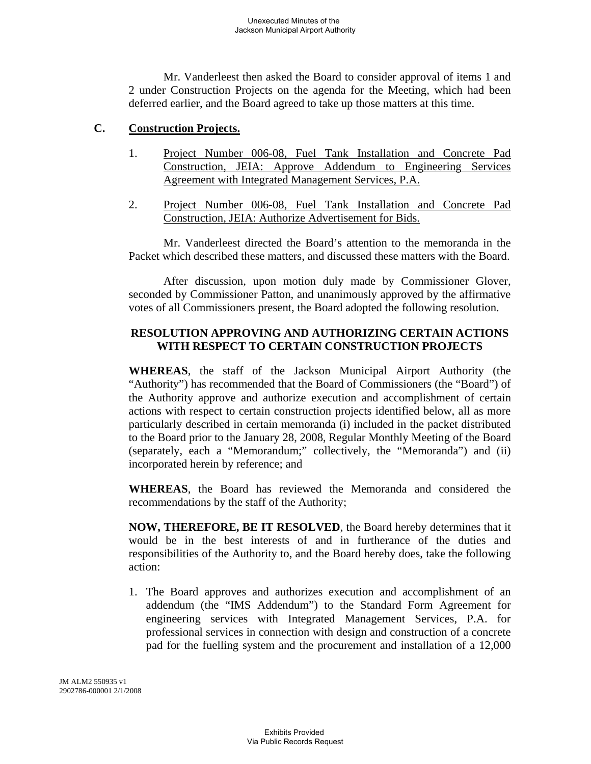Mr. Vanderleest then asked the Board to consider approval of items 1 and 2 under Construction Projects on the agenda for the Meeting, which had been deferred earlier, and the Board agreed to take up those matters at this time.

#### **C. Construction Projects.**

- 1. Project Number 006-08, Fuel Tank Installation and Concrete Pad Construction, JEIA: Approve Addendum to Engineering Services Agreement with Integrated Management Services, P.A.
- 2. Project Number 006-08, Fuel Tank Installation and Concrete Pad Construction, JEIA: Authorize Advertisement for Bids.

Mr. Vanderleest directed the Board's attention to the memoranda in the Packet which described these matters, and discussed these matters with the Board.

After discussion, upon motion duly made by Commissioner Glover, seconded by Commissioner Patton, and unanimously approved by the affirmative votes of all Commissioners present, the Board adopted the following resolution.

# **RESOLUTION APPROVING AND AUTHORIZING CERTAIN ACTIONS WITH RESPECT TO CERTAIN CONSTRUCTION PROJECTS**

**WHEREAS**, the staff of the Jackson Municipal Airport Authority (the "Authority") has recommended that the Board of Commissioners (the "Board") of the Authority approve and authorize execution and accomplishment of certain actions with respect to certain construction projects identified below, all as more particularly described in certain memoranda (i) included in the packet distributed to the Board prior to the January 28, 2008, Regular Monthly Meeting of the Board (separately, each a "Memorandum;" collectively, the "Memoranda") and (ii) incorporated herein by reference; and

**WHEREAS**, the Board has reviewed the Memoranda and considered the recommendations by the staff of the Authority;

**NOW, THEREFORE, BE IT RESOLVED**, the Board hereby determines that it would be in the best interests of and in furtherance of the duties and responsibilities of the Authority to, and the Board hereby does, take the following action:

1. The Board approves and authorizes execution and accomplishment of an addendum (the "IMS Addendum") to the Standard Form Agreement for engineering services with Integrated Management Services, P.A. for professional services in connection with design and construction of a concrete pad for the fuelling system and the procurement and installation of a 12,000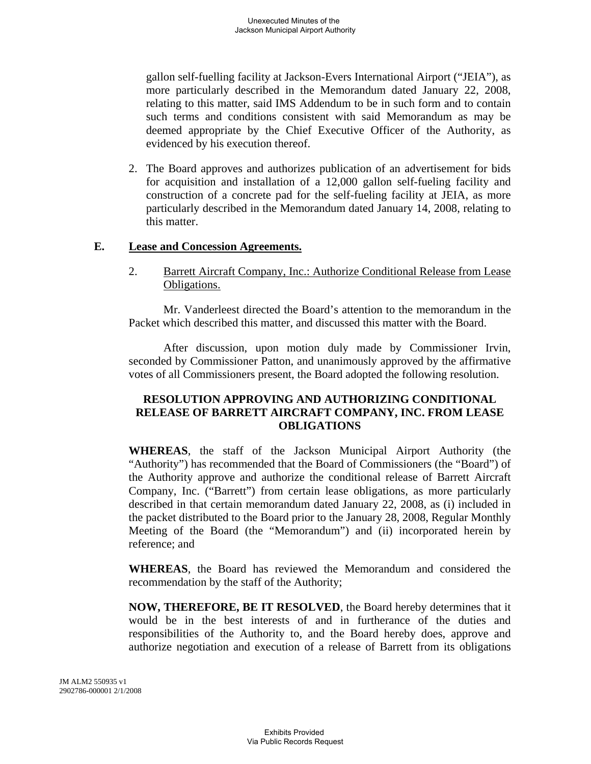gallon self-fuelling facility at Jackson-Evers International Airport ("JEIA"), as more particularly described in the Memorandum dated January 22, 2008, relating to this matter, said IMS Addendum to be in such form and to contain such terms and conditions consistent with said Memorandum as may be deemed appropriate by the Chief Executive Officer of the Authority, as evidenced by his execution thereof.

2. The Board approves and authorizes publication of an advertisement for bids for acquisition and installation of a 12,000 gallon self-fueling facility and construction of a concrete pad for the self-fueling facility at JEIA, as more particularly described in the Memorandum dated January 14, 2008, relating to this matter.

#### **E. Lease and Concession Agreements.**

2. Barrett Aircraft Company, Inc.: Authorize Conditional Release from Lease Obligations.

Mr. Vanderleest directed the Board's attention to the memorandum in the Packet which described this matter, and discussed this matter with the Board.

After discussion, upon motion duly made by Commissioner Irvin, seconded by Commissioner Patton, and unanimously approved by the affirmative votes of all Commissioners present, the Board adopted the following resolution.

## **RESOLUTION APPROVING AND AUTHORIZING CONDITIONAL RELEASE OF BARRETT AIRCRAFT COMPANY, INC. FROM LEASE OBLIGATIONS**

**WHEREAS**, the staff of the Jackson Municipal Airport Authority (the "Authority") has recommended that the Board of Commissioners (the "Board") of the Authority approve and authorize the conditional release of Barrett Aircraft Company, Inc. ("Barrett") from certain lease obligations, as more particularly described in that certain memorandum dated January 22, 2008, as (i) included in the packet distributed to the Board prior to the January 28, 2008, Regular Monthly Meeting of the Board (the "Memorandum") and (ii) incorporated herein by reference; and

**WHEREAS**, the Board has reviewed the Memorandum and considered the recommendation by the staff of the Authority;

**NOW, THEREFORE, BE IT RESOLVED**, the Board hereby determines that it would be in the best interests of and in furtherance of the duties and responsibilities of the Authority to, and the Board hereby does, approve and authorize negotiation and execution of a release of Barrett from its obligations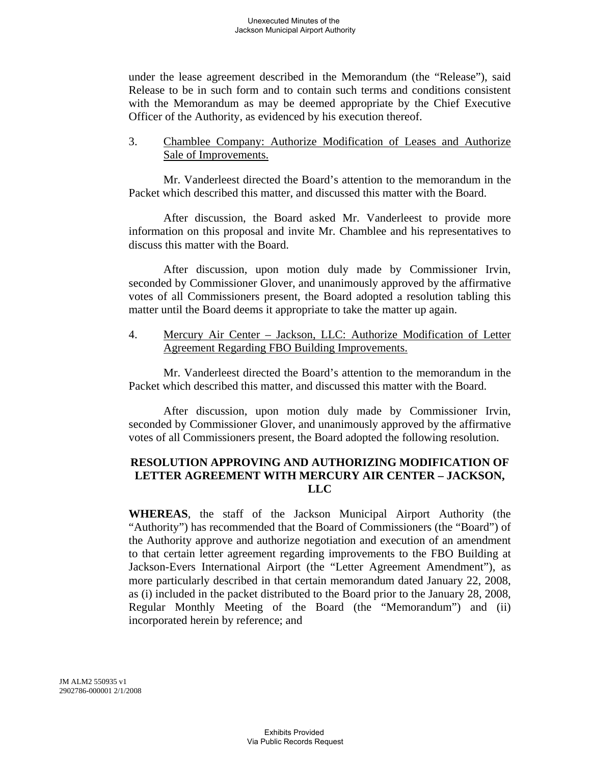under the lease agreement described in the Memorandum (the "Release"), said Release to be in such form and to contain such terms and conditions consistent with the Memorandum as may be deemed appropriate by the Chief Executive Officer of the Authority, as evidenced by his execution thereof.

#### 3. Chamblee Company: Authorize Modification of Leases and Authorize Sale of Improvements.

Mr. Vanderleest directed the Board's attention to the memorandum in the Packet which described this matter, and discussed this matter with the Board.

After discussion, the Board asked Mr. Vanderleest to provide more information on this proposal and invite Mr. Chamblee and his representatives to discuss this matter with the Board.

After discussion, upon motion duly made by Commissioner Irvin, seconded by Commissioner Glover, and unanimously approved by the affirmative votes of all Commissioners present, the Board adopted a resolution tabling this matter until the Board deems it appropriate to take the matter up again.

4. Mercury Air Center – Jackson, LLC: Authorize Modification of Letter Agreement Regarding FBO Building Improvements.

Mr. Vanderleest directed the Board's attention to the memorandum in the Packet which described this matter, and discussed this matter with the Board.

After discussion, upon motion duly made by Commissioner Irvin, seconded by Commissioner Glover, and unanimously approved by the affirmative votes of all Commissioners present, the Board adopted the following resolution.

### **RESOLUTION APPROVING AND AUTHORIZING MODIFICATION OF LETTER AGREEMENT WITH MERCURY AIR CENTER – JACKSON, LLC**

**WHEREAS**, the staff of the Jackson Municipal Airport Authority (the "Authority") has recommended that the Board of Commissioners (the "Board") of the Authority approve and authorize negotiation and execution of an amendment to that certain letter agreement regarding improvements to the FBO Building at Jackson-Evers International Airport (the "Letter Agreement Amendment"), as more particularly described in that certain memorandum dated January 22, 2008, as (i) included in the packet distributed to the Board prior to the January 28, 2008, Regular Monthly Meeting of the Board (the "Memorandum") and (ii) incorporated herein by reference; and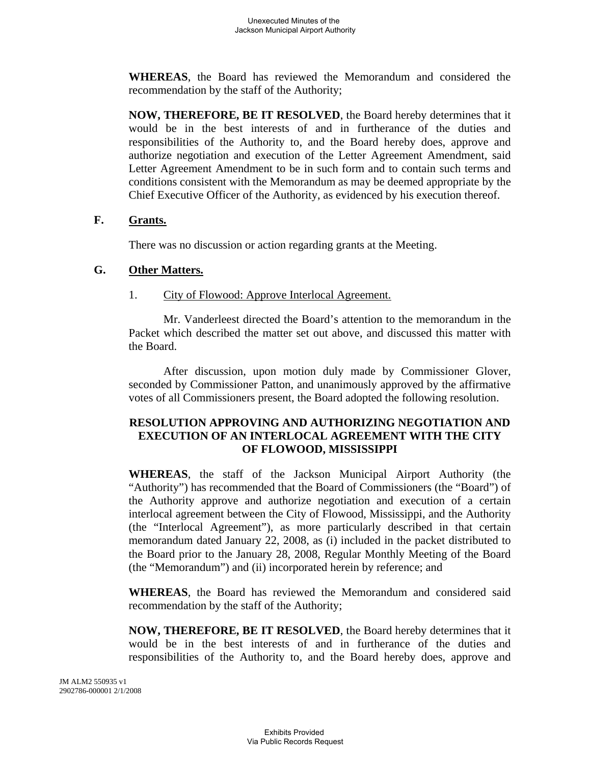**WHEREAS**, the Board has reviewed the Memorandum and considered the recommendation by the staff of the Authority;

**NOW, THEREFORE, BE IT RESOLVED**, the Board hereby determines that it would be in the best interests of and in furtherance of the duties and responsibilities of the Authority to, and the Board hereby does, approve and authorize negotiation and execution of the Letter Agreement Amendment, said Letter Agreement Amendment to be in such form and to contain such terms and conditions consistent with the Memorandum as may be deemed appropriate by the Chief Executive Officer of the Authority, as evidenced by his execution thereof.

## **F. Grants.**

There was no discussion or action regarding grants at the Meeting.

## **G. Other Matters.**

## 1. City of Flowood: Approve Interlocal Agreement.

Mr. Vanderleest directed the Board's attention to the memorandum in the Packet which described the matter set out above, and discussed this matter with the Board.

After discussion, upon motion duly made by Commissioner Glover, seconded by Commissioner Patton, and unanimously approved by the affirmative votes of all Commissioners present, the Board adopted the following resolution.

# **RESOLUTION APPROVING AND AUTHORIZING NEGOTIATION AND EXECUTION OF AN INTERLOCAL AGREEMENT WITH THE CITY OF FLOWOOD, MISSISSIPPI**

**WHEREAS**, the staff of the Jackson Municipal Airport Authority (the "Authority") has recommended that the Board of Commissioners (the "Board") of the Authority approve and authorize negotiation and execution of a certain interlocal agreement between the City of Flowood, Mississippi, and the Authority (the "Interlocal Agreement"), as more particularly described in that certain memorandum dated January 22, 2008, as (i) included in the packet distributed to the Board prior to the January 28, 2008, Regular Monthly Meeting of the Board (the "Memorandum") and (ii) incorporated herein by reference; and

**WHEREAS**, the Board has reviewed the Memorandum and considered said recommendation by the staff of the Authority;

**NOW, THEREFORE, BE IT RESOLVED**, the Board hereby determines that it would be in the best interests of and in furtherance of the duties and responsibilities of the Authority to, and the Board hereby does, approve and